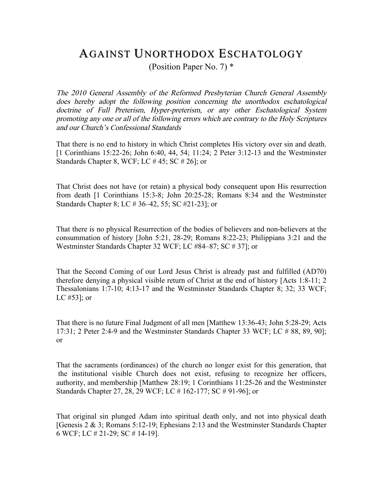## AGAINST UNORTHODOX ESCHATOLOGY

(Position Paper No. 7) \*

The 2010 General Assembly of the Reformed Presbyterian Church General Assembly does hereby adopt the following position concerning the unorthodox eschatological doctrine of Full Preterism, Hyper-preterism, or any other Eschatological System promoting any one or all of the following errors which are contrary to the Holy Scriptures and our Church's Confessional Standards

That there is no end to history in which Christ completes His victory over sin and death. [1 Corinthians 15:22-26; John 6:40, 44, 54; 11:24; 2 Peter 3:12-13 and the Westminster Standards Chapter 8, WCF; LC # 45; SC # 26]; or

That Christ does not have (or retain) a physical body consequent upon His resurrection from death [1 Corinthians 15:3-8; John 20:25-28; Romans 8:34 and the Westminster Standards Chapter 8; LC # 36–42, 55; SC #21-23]; or

That there is no physical Resurrection of the bodies of believers and non-believers at the consummation of history [John 5:21, 28-29; Romans 8:22-23; Philippians 3:21 and the Westminster Standards Chapter 32 WCF; LC #84–87; SC # 37]; or

That the Second Coming of our Lord Jesus Christ is already past and fulfilled (AD70) therefore denying a physical visible return of Christ at the end of history [Acts 1:8-11; 2 Thessalonians 1:7-10; 4:13-17 and the Westminster Standards Chapter 8; 32; 33 WCF; LC #53]; or

That there is no future Final Judgment of all men [Matthew 13:36-43; John 5:28-29; Acts 17:31; 2 Peter 2:4-9 and the Westminster Standards Chapter 33 WCF; LC # 88, 89, 90]; or

That the sacraments (ordinances) of the church no longer exist for this generation, that the institutional visible Church does not exist, refusing to recognize her officers, authority, and membership [Matthew 28:19; 1 Corinthians 11:25-26 and the Westminster Standards Chapter 27, 28, 29 WCF; LC # 162-177; SC # 91-96]; or

That original sin plunged Adam into spiritual death only, and not into physical death [Genesis 2 & 3; Romans 5:12-19; Ephesians 2:13 and the Westminster Standards Chapter 6 WCF; LC # 21-29; SC # 14-19].